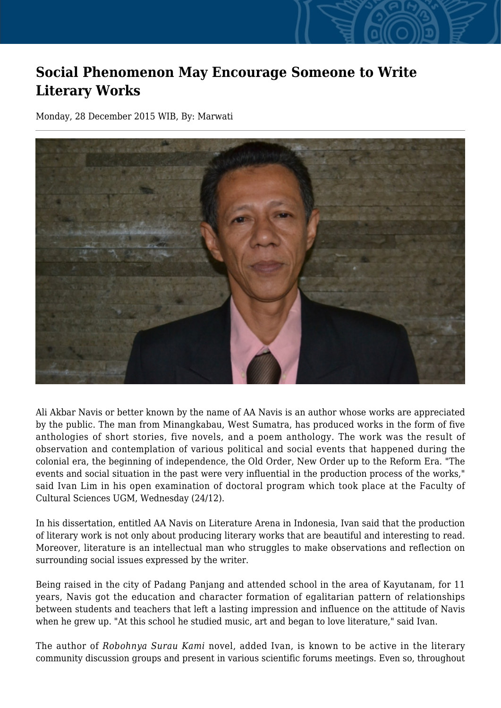## **Social Phenomenon May Encourage Someone to Write Literary Works**

Monday, 28 December 2015 WIB, By: Marwati



Ali Akbar Navis or better known by the name of AA Navis is an author whose works are appreciated by the public. The man from Minangkabau, West Sumatra, has produced works in the form of five anthologies of short stories, five novels, and a poem anthology. The work was the result of observation and contemplation of various political and social events that happened during the colonial era, the beginning of independence, the Old Order, New Order up to the Reform Era. "The events and social situation in the past were very influential in the production process of the works," said Ivan Lim in his open examination of doctoral program which took place at the Faculty of Cultural Sciences UGM, Wednesday (24/12).

In his dissertation, entitled AA Navis on Literature Arena in Indonesia, Ivan said that the production of literary work is not only about producing literary works that are beautiful and interesting to read. Moreover, literature is an intellectual man who struggles to make observations and reflection on surrounding social issues expressed by the writer.

Being raised in the city of Padang Panjang and attended school in the area of Kayutanam, for 11 years, Navis got the education and character formation of egalitarian pattern of relationships between students and teachers that left a lasting impression and influence on the attitude of Navis when he grew up. "At this school he studied music, art and began to love literature," said Ivan.

The author of *Robohnya Surau Kami* novel, added Ivan, is known to be active in the literary community discussion groups and present in various scientific forums meetings. Even so, throughout